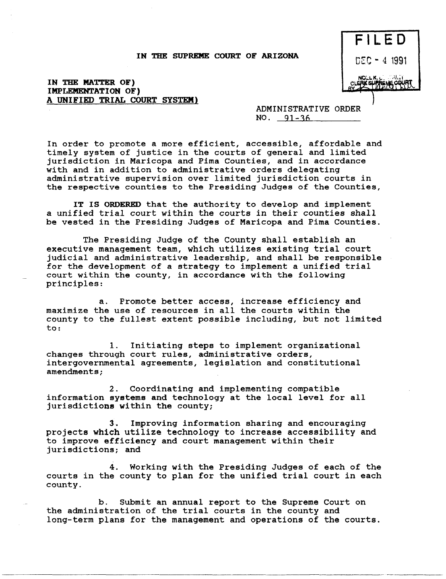## IN THE SUPREME COURT OF ARIZONA



## IN THE MATTER OF) IMPLEMENTATION OF) A UNIFIED TRIAL COURT SYSTEM)

ADMINISTRATIVE ORDER  $NO. 91-36$ 

In order to promote a more efficient, accessible, affordable and timely system of justice in the courts of general and limited jurisdiction in Maricopa and Pima Counties, and in accordance with and in addition to administrative orders delegating administrative supervision over limited jurisdiction courts in the respective counties to the Presiding Judges of the Counties,

IT IS ORDERED that the authority to develop and implement a unified trial court within the courts *in* their counties shall be vested in the Presiding Judges of Maricopa and Pima Counties.

The Presiding Judge of the County shall establish an executive management team, which utilizes existing trial court judicial and administrative leadership, and shall be responsible for the development of a strategy to implement a unified trial court within the county, in accordance with the following principles:

a. Promote better access, increase efficiency and maximize the use of resources in all the courts within the county to the fullest extent possible including, but not limited to:

1. Initiating steps to implement organizational changes through court rules, administrative orders, intergovernmental agreements, legislation and constitutional amendments;

2. Coordinating and implementing compatible information systems and technology at the local level for all jurisdictions within the county;

3. Improving information sharing and encouraging projects which utilize technology to increase accessibility and to improve efficiency and court management within their jurisdictions; and

4. Working with the Presiding Judges of each of the courts in the county to plan for the unified trial court in each county.

b. Submit an annual report to the Supreme Court on the administration of the trial courts in the county and long-term plans for the management and operations of the courts.